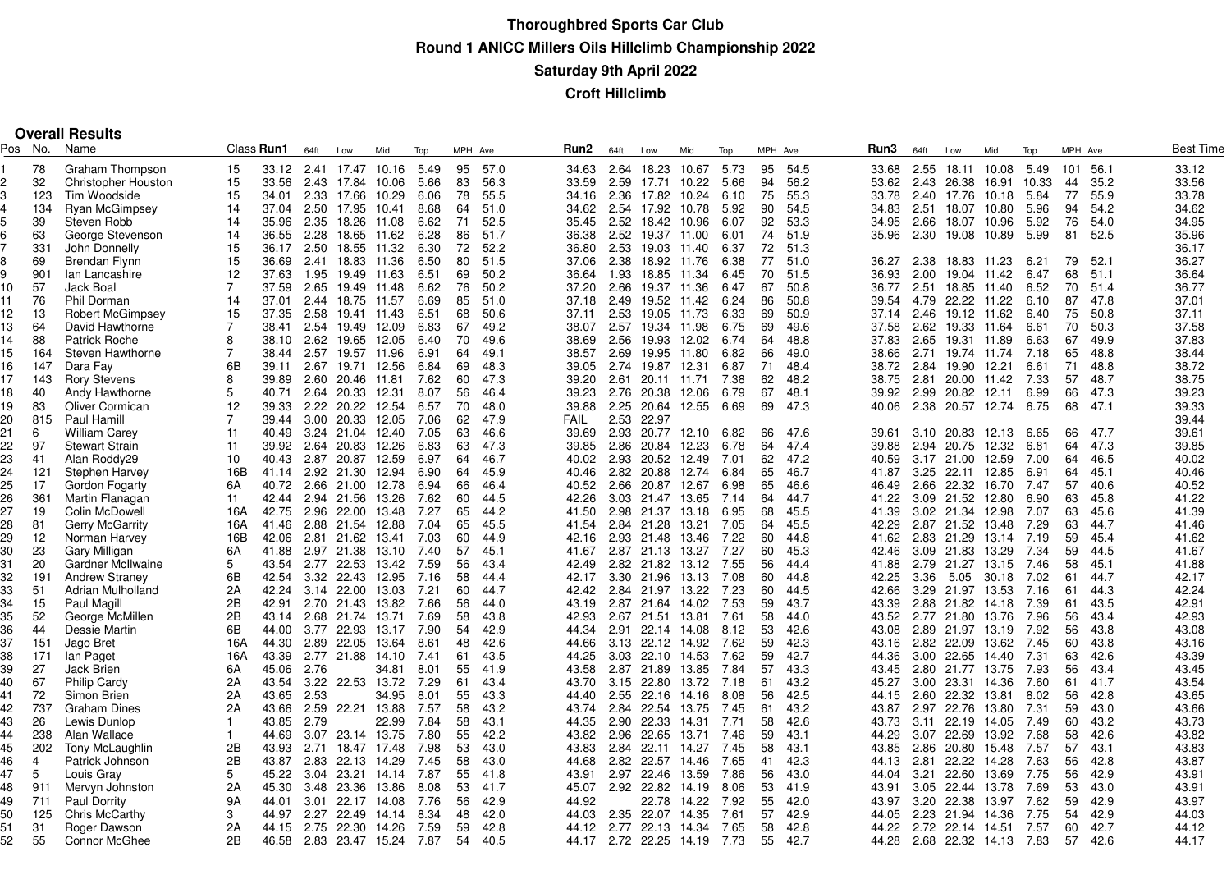|         |     | <b>Overall Results</b>     |                |                   |      |                  |       |      |         |      |             |      |                  |       |      |         |      |       |      |                  |             |       |         |      |           |
|---------|-----|----------------------------|----------------|-------------------|------|------------------|-------|------|---------|------|-------------|------|------------------|-------|------|---------|------|-------|------|------------------|-------------|-------|---------|------|-----------|
| Pos No. |     | Name                       |                | Class <b>Run1</b> | 64ft | Low              | Mid   | Top  | MPH Ave |      | Run2        | 64ft | Low              | Mid   | Top  | MPH Ave |      | Run3  | 64ft | Low              | Mid         | Top   | MPH Ave |      | Best Time |
|         | 78  | Graham Thompson            | 15             | 33.12             |      | 2.41 17.47       | 10.16 | 5.49 | 95      | 57.0 | 34.63       |      | 2.64 18.23       | 10.67 | 5.73 | 95      | 54.5 | 33.68 | 2.55 | 18.11            | 10.08       | 5.49  | 101     | 56.1 | 33.12     |
|         | 32  | <b>Christopher Houston</b> | 15             | 33.56             | 2.43 | 17.84            | 10.06 | 5.66 | 83      | 56.3 | 33.59       | 2.59 | 17.71            | 10.22 | 5.66 | 94      | 56.2 | 53.62 | 2.43 | 26.38            | 16.91       | 10.33 | 44      | 35.2 | 33.56     |
|         | 123 | Tim Woodside               | 15             | 34.01             |      | 2.33 17.66       | 10.29 | 6.06 | 78      | 55.5 | 34.16       |      | 2.36 17.82       | 10.24 | 6.10 | 75      | 55.3 | 33.78 |      | 2.40 17.76       | 10.18       | 5.84  | 77      | 55.9 | 33.78     |
|         | 134 | <b>Ryan McGimpsey</b>      | 14             | 37.04             | 2.50 | 17.95            | 10.41 | 8.68 | 64      | 51.0 | 34.62       |      | 2.54 17.92       | 10.78 | 5.92 | 90      | 54.5 | 34.83 |      | 2.51 18.07       | 10.80       | 5.96  | 94      | 54.2 | 34.62     |
|         | 39  | Steven Robb                | 14             | 35.96             | 2.35 | 18.26            | 11.08 | 6.62 | 71      | 52.5 | 35.45       |      | 2.52 18.42       | 10.96 | 6.07 | 92      | 53.3 | 34.95 | 2.66 |                  | 18.07 10.96 | 5.92  | 76      | 54.0 | 34.95     |
|         | 63  | George Stevenson           | 14             | 36.55             | 2.28 | 18.65 11.62      |       | 6.28 | 86      | 51.7 | 36.38       |      | 2.52 19.37       | 11.00 | 6.01 | 74      | 51.9 | 35.96 | 2.30 |                  | 19.08 10.89 | 5.99  | 81      | 52.5 | 35.96     |
|         | 331 | John Donnelly              | 15             | 36.17             | 2.50 | 18.55            | 11.32 | 6.30 | 72      | 52.2 | 36.80       |      | 2.53 19.03       | 11.40 | 6.37 | 72      | 51.3 |       |      |                  |             |       |         |      | 36.17     |
|         | 69  | Brendan Flynn              | 15             | 36.69             | 2.41 | 18.83            | 11.36 | 6.50 | 80      | 51.5 | 37.06       |      | 2.38 18.92 11.76 |       | 6.38 | 77      | 51.0 | 36.27 | 2.38 | 18.83 11.23      |             | 6.21  | 79      | 52.1 | 36.27     |
|         | 901 | lan Lancashire             | 12             | 37.63             | 1.95 | 19.49 11.63      |       | 6.51 | 69      | 50.2 | 36.64       | 1.93 | 18.85            | 11.34 | 6.45 | 70      | 51.5 | 36.93 | 2.00 |                  | 19.04 11.42 | 6.47  | 68      | 51.1 | 36.64     |
| 10      | 57  | Jack Boal                  | $\overline{7}$ | 37.59             | 2.65 | 19.49            | 11.48 | 6.62 | 76      | 50.2 | 37.20       |      | 2.66 19.37 11.36 |       | 6.47 | 67      | 50.8 | 36.77 | 2.51 |                  | 18.85 11.40 | 6.52  | 70      | 51.4 | 36.77     |
| 11      | 76  | Phil Dorman                | 14             | 37.01             |      | 2.44 18.75 11.57 |       | 6.69 | 85      | 51.0 | 37.18       |      | 2.49 19.52 11.42 |       | 6.24 | 86      | 50.8 | 39.54 | 4.79 |                  | 22.22 11.22 | 6.10  | 87      | 47.8 | 37.01     |
| 12.     | 13  | Robert McGimpsey           | 15             | 37.35             | 2.58 | 19.41 11.43      |       | 6.51 | 68      | 50.6 | 37.11       |      | 2.53 19.05       | 11.73 | 6.33 | 69      | 50.9 | 37.14 | 2.46 |                  | 19.12 11.62 | 6.40  | 75      | 50.8 | 37.11     |
| 13      | 64  | David Hawthorne            | $\overline{7}$ | 38.41             | 2.54 | 19.49            | 12.09 | 6.83 | 67      | 49.2 | 38.07       |      | 2.57 19.34       | 11.98 | 6.75 | 69      | 49.6 | 37.58 | 2.62 | 19.33 11.64      |             | 6.61  | 70      | 50.3 | 37.58     |
| 14      | 88  | Patrick Roche              | 8              | 38.10             | 2.62 | 19.65            | 12.05 | 6.40 | 70      | 49.6 | 38.69       |      | 2.56 19.93       | 12.02 | 6.74 | 64      | 48.8 | 37.83 | 2.65 |                  | 19.31 11.89 | 6.63  | 67      | 49.9 | 37.83     |
| 15      | 164 | Steven Hawthorne           | $\overline{7}$ | 38.44             | 2.57 | 19.57 11.96      |       | 6.91 | 64      | 49.1 | 38.57       |      | 2.69 19.95       | 11.80 | 6.82 | 66      | 49.0 | 38.66 | 2.71 |                  | 19.74 11.74 | 7.18  | 65      | 48.8 | 38.44     |
|         |     |                            | 6B             |                   |      |                  |       |      | 69      | 48.3 |             |      |                  |       |      |         |      |       |      |                  |             |       |         | 48.8 | 38.72     |
| 16      | 147 | Dara Fay                   |                | 39.11             | 2.67 | 19.71            | 12.56 | 6.84 |         |      | 39.05       |      | 2.74 19.87       | 12.31 | 6.87 | 71      | 48.4 | 38.72 | 2.84 | 19.90            | 12.21       | 6.61  | 71      |      |           |
| 17      | 143 | <b>Rory Stevens</b>        | 8              | 39.89             | 2.60 | 20.46            | 11.81 | 7.62 | 60      | 47.3 | 39.20       |      | 2.61 20.11       | 11.71 | 7.38 | 62      | 48.2 | 38.75 | 2.81 |                  | 20.00 11.42 | 7.33  | 57      | 48.7 | 38.75     |
| 18      | 40  | Andy Hawthorne             | 5              | 40.71             | 2.64 | 20.33            | 12.31 | 8.07 | 56      | 46.4 | 39.23       |      | 2.76 20.38       | 12.06 | 6.79 | 67      | 48.1 | 39.92 | 2.99 | 20.82            | 12.11       | 6.99  | 66      | 47.3 | 39.23     |
| 19      | 83  | <b>Oliver Cormican</b>     | 12             | 39.33             |      | 2.22 20.22       | 12.54 | 6.57 | 70      | 48.0 | 39.88       |      | 2.25 20.64       | 12.55 | 6.69 | 69      | 47.3 | 40.06 |      | 2.38 20.57 12.74 |             | 6.75  | 68      | 47.1 | 39.33     |
| 20      | 815 | Paul Hamill                | $\overline{7}$ | 39.44             |      | 3.00 20.33       | 12.05 | 7.06 | 62      | 47.9 | <b>FAIL</b> |      | 2.53 22.97       |       |      |         |      |       |      |                  |             |       |         |      | 39.44     |
| 21      | 6   | <b>William Carey</b>       | 11             | 40.49             |      | 3.24 21.04       | 12.40 | 7.05 | 63      | 46.6 | 39.69       |      | 2.93 20.77       | 12.10 | 6.82 | 66      | 47.6 | 39.61 | 3.10 | 20.83            | 12.13       | 6.65  | 66      | 47.7 | 39.61     |
| 22      | 97  | <b>Stewart Strain</b>      | 11             | 39.92             | 2.64 | 20.83            | 12.26 | 6.83 | 63      | 47.3 | 39.85       |      | 2.86 20.84       | 12.23 | 6.78 | 64      | 47.4 | 39.88 | 2.94 | 20.75            | 12.32       | 6.81  | 64      | 47.3 | 39.85     |
| 23      | 41  | Alan Roddy29               | 10             | 40.43             |      | 2.87 20.87       | 12.59 | 6.97 | 64      | 46.7 | 40.02       |      | 2.93 20.52       | 12.49 | 7.01 | 62      | 47.2 | 40.59 |      | 3.17 21.00 12.59 |             | 7.00  | 64      | 46.5 | 40.02     |
| 24      | 121 | <b>Stephen Harvey</b>      | 16B            | 41.14             |      | 2.92 21.30       | 12.94 | 6.90 | 64      | 45.9 | 40.46       |      | 2.82 20.88       | 12.74 | 6.84 | 65      | 46.7 | 41.87 | 3.25 | 22.11            | 12.85       | 6.91  | 64      | 45.1 | 40.46     |
| 25      | 17  | Gordon Fogarty             | 6A             | 40.72             |      | 2.66 21.00 12.78 |       | 6.94 | 66      | 46.4 | 40.52       |      | 2.66 20.87       | 12.67 | 6.98 | 65      | 46.6 | 46.49 | 2.66 | 22.32            | 16.70       | 7.47  | 57      | 40.6 | 40.52     |
| 26      | 361 | Martin Flanagan            | 11             | 42.44             |      | 2.94 21.56       | 13.26 | 7.62 | 60      | 44.5 | 42.26       |      | 3.03 21.47       | 13.65 | 7.14 | 64      | 44.7 | 41.22 |      | 3.09 21.52 12.80 |             | 6.90  | 63      | 45.8 | 41.22     |
| 27      | 19  | Colin McDowell             | 16A            | 42.75             |      | 2.96 22.00       | 13.48 | 7.27 | 65      | 44.2 | 41.50       |      | 2.98 21.37       | 13.18 | 6.95 | 68      | 45.5 | 41.39 |      | 3.02 21.34 12.98 |             | 7.07  | 63      | 45.6 | 41.39     |
| 28      | 81  | Gerry McGarrity            | 16A            | 41.46             |      | 2.88 21.54 12.88 |       | 7.04 | 65      | 45.5 | 41.54       |      | 2.84 21.28       | 13.21 | 7.05 | 64      | 45.5 | 42.29 |      | 2.87 21.52 13.48 |             | 7.29  | 63      | 44.7 | 41.46     |
| 29      | 12  | Norman Harvey              | 16B            | 42.06             |      | 2.81 21.62       | 13.41 | 7.03 | 60      | 44.9 | 42.16       |      | 2.93 21.48       | 13.46 | 7.22 | 60      | 44.8 | 41.62 |      | 2.83 21.29       | 13.14       | 7.19  | 59      | 45.4 | 41.62     |
| 30      | 23  | Gary Milligan              | 6A             | 41.88             |      | 2.97 21.38       | 13.10 | 7.40 | 57      | 45.1 | 41.67       |      | 2.87 21.13       | 13.27 | 7.27 | 60      | 45.3 | 42.46 | 3.09 | 21.83            | 13.29       | 7.34  | 59      | 44.5 | 41.67     |
| 31      | 20  | Gardner McIlwaine          | 5              | 43.54             |      | 2.77 22.53       | 13.42 | 7.59 | 56      | 43.4 | 42.49       |      | 2.82 21.82 13.12 |       | 7.55 | 56      | 44.4 | 41.88 |      | 2.79 21.27 13.15 |             | 7.46  | 58      | 45.1 | 41.88     |
| 32      | 191 | <b>Andrew Straney</b>      | 6B             | 42.54             |      | 3.32 22.43       | 12.95 | 7.16 | 58      | 44.4 | 42.17       |      | 3.30 21.96       | 13.13 | 7.08 | 60      | 44.8 | 42.25 | 3.36 | 5.05             | 30.18       | 7.02  | 61      | 44.7 | 42.17     |
| 33      | 51  | Adrian Mulholland          | 2A             | 42.24             |      | 3.14 22.00       | 13.03 | 7.21 | 60      | 44.7 | 42.42       |      | 2.84 21.97       | 13.22 | 7.23 | 60      | 44.5 | 42.66 | 3.29 | 21.97            | 13.53       | 7.16  | 61      | 44.3 | 42.24     |
| 34      | 15  | Paul Magill                | 2B             | 42.91             |      | 2.70 21.43 13.82 |       | 7.66 | 56      | 44.0 | 43.19       |      | 2.87 21.64 14.02 |       | 7.53 | 59      | 43.7 | 43.39 |      | 2.88 21.82 14.18 |             | 7.39  | 61      | 43.5 | 42.91     |
| 35      | 52  | George McMillen            | 2B             | 43.14             | 2.68 | 21.74            | 13.71 | 7.69 | 58      | 43.8 | 42.93       |      | 2.67 21.51 13.81 |       | 7.61 | 58      | 44.0 | 43.52 | 2.77 | 21.80            | 13.76       | 7.96  | 56      | 43.4 | 42.93     |
| 36      | 44  | Dessie Martin              | 6B             | 44.00             |      | 3.77 22.93       | 13.17 | 7.90 | 54      | 42.9 | 44.34       | 2.91 | 22.14 14.08      |       | 8.12 | 53      | 42.6 | 43.08 | 2.89 |                  | 21.97 13.19 | 7.92  | 56      | 43.8 | 43.08     |
| 37      | 151 | Jago Bret                  | 16A            | 44.30             |      | 2.89 22.05       | 13.64 | 8.61 | 48      | 42.6 | 44.66       |      | 3.13 22.12 14.92 |       | 7.62 | 59      | 42.3 | 43.16 |      | 2.82 22.09 13.62 |             | 7.45  | 60      | 43.8 | 43.16     |
| 38      | 171 | lan Paget                  | 16A            | 43.39             |      | 2.77 21.88       | 14.10 | 7.41 | 61      | 43.5 | 44.25       |      | 3.03 22.10       | 14.53 | 7.62 | 59      | 42.7 | 44.36 | 3.00 | 22.65            | 14.40       | 7.31  | 63      | 42.6 | 43.39     |
|         | 27  | <b>Jack Brien</b>          | 6A             | 45.06             | 2.76 |                  |       |      | 55      | 41.9 | 43.58       |      |                  | 13.85 | 7.84 | 57      | 43.3 | 43.45 | 2.80 |                  |             | 7.93  | 56      | 43.4 |           |
| 39      |     |                            | 2A             |                   |      |                  | 34.81 | 8.01 |         |      |             |      | 2.87 21.89       |       |      |         |      |       |      | 21.77            | 13.75       |       |         | 41.7 | 43.45     |
| 40      | 67  | <b>Philip Cardy</b>        |                | 43.54             |      | 3.22 22.53 13.72 |       | 7.29 | 61      | 43.4 | 43.70       |      | 3.15 22.80       | 13.72 | 7.18 | 61      | 43.2 | 45.27 | 3.00 | 23.31 14.36      |             | 7.60  | 61      |      | 43.54     |
| 41      | 72  | Simon Brien                | 2A             | 43.65             | 2.53 |                  | 34.95 | 8.01 | 55      | 43.3 | 44.40       |      | 2.55 22.16       | 14.16 | 8.08 | 56      | 42.5 | 44.15 | 2.60 | 22.32            | 13.81       | 8.02  | 56      | 42.8 | 43.65     |
| 42      | 737 | Graham Dines               | 2A             | 43.66             | 2.59 | 22.21 13.88      |       | 7.57 | 58      | 43.2 | 43.74       |      | 2.84 22.54 13.75 |       | 7.45 | 61      | 43.2 | 43.87 | 2.97 | 22.76            | 13.80       | 7.31  | 59      | 43.0 | 43.66     |
| 43      | 26  | Lewis Dunlop               |                | 43.85             | 2.79 |                  | 22.99 | 7.84 | 58      | 43.1 | 44.35       |      | 2.90 22.33       | 14.31 | 7.71 | 58      | 42.6 | 43.73 | 3.11 | 22.19            | 14.05       | 7.49  | 60      | 43.2 | 43.73     |
| 44      | 238 | Alan Wallace               |                | 44.69             | 3.07 | 23.14 13.75      |       | 7.80 | 55      | 42.2 | 43.82       |      | 2.96 22.65       | 13.71 | 7.46 | 59      | 43.1 | 44.29 | 3.07 | 22.69            | 13.92       | 7.68  | 58      | 42.6 | 43.82     |
| 45      | 202 | Tony McLaughlin            | 2B             | 43.93             | 2.71 | 18.47            | 17.48 | 7.98 | 53      | 43.0 | 43.83       |      | 2.84 22.11 14.27 |       | 7.45 | 58      | 43.1 | 43.85 | 2.86 | 20.80            | 15.48       | 7.57  | 57      | 43.1 | 43.83     |
| 46      | 4   | Patrick Johnson            | 2B             | 43.87             | 2.83 | 22.13            | 14.29 | 7.45 | 58      | 43.0 | 44.68       |      | 2.82 22.57       | 14.46 | 7.65 | 41      | 42.3 | 44.13 | 2.81 | 22.22            | 14.28       | 7.63  | 56      | 42.8 | 43.87     |
| 47      | 5   | Louis Gray                 | 5              | 45.22             | 3.04 | 23.21            | 14.14 | 7.87 | 55      | 41.8 | 43.91       |      | 2.97 22.46       | 13.59 | 7.86 | 56      | 43.0 | 44.04 | 3.21 | 22.60            | 13.69       | 7.75  | 56      | 42.9 | 43.91     |
| 48      | 911 | Mervyn Johnston            | 2A             | 45.30             |      | 3.48 23.36       | 13.86 | 8.08 | 53      | 41.7 | 45.07       |      | 2.92 22.82       | 14.19 | 8.06 | 53      | 41.9 | 43.91 | 3.05 | 22.44 13.78      |             | 7.69  | 53      | 43.0 | 43.91     |
| 49      | 711 | Paul Dorrity               | 9A             | 44.01             | 3.01 | 22.17            | 14.08 | 7.76 | 56      | 42.9 | 44.92       |      | 22.78            | 14.22 | 7.92 | 55      | 42.0 | 43.97 | 3.20 | 22.38            | 13.97       | 7.62  | 59      | 42.9 | 43.97     |
| 50      | 125 | Chris McCarthy             | 3              | 44.97             | 2.27 | 22.49            | 14.14 | 8.34 | 48      | 42.0 | 44.03       |      | 2.35 22.07       | 14.35 | 7.61 | 57      | 42.9 | 44.05 | 2.23 | 21.94 14.36      |             | 7.75  | 54      | 42.9 | 44.03     |
| 51      | 31  | Roger Dawson               | 2A             | 44.15             |      | 2.75 22.30 14.26 |       | 7.59 | 59      | 42.8 | 44.12       |      | 2.77 22.13       | 14.34 | 7.65 | 58      | 42.8 | 44.22 |      | 2.72 22.14 14.51 |             | 7.57  | 60      | 42.7 | 44.12     |
| 52      | 55  | <b>Connor McGhee</b>       | 2B             | 46.58             |      | 2.83 23.47 15.24 |       | 7.87 | 54      | 40.5 | 44.17       |      | 2.72 22.25 14.19 |       | 7.73 | 55      | 42.7 | 44.28 |      | 2.68 22.32 14.13 |             | 7.83  | 57      | 42.6 | 44.17     |
|         |     |                            |                |                   |      |                  |       |      |         |      |             |      |                  |       |      |         |      |       |      |                  |             |       |         |      |           |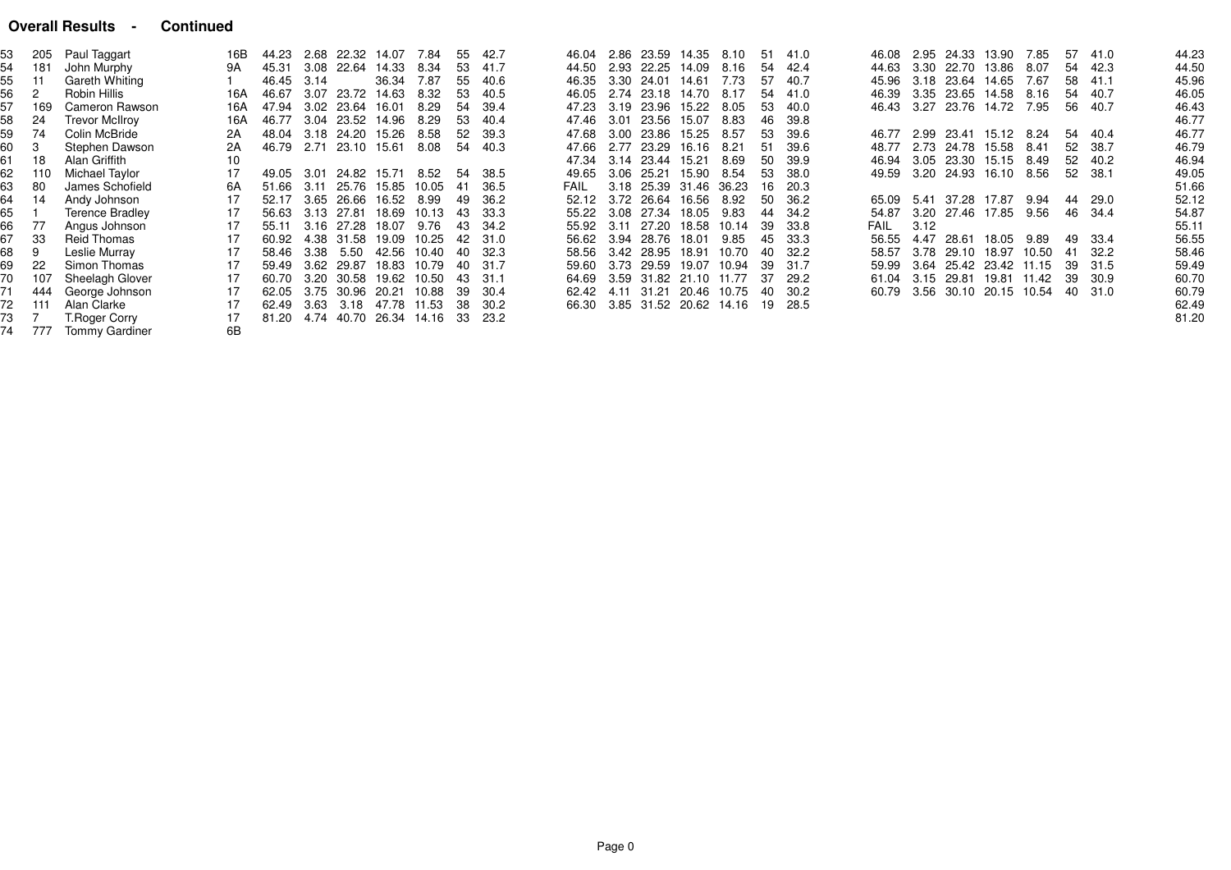#### **Overall Results - Continued**

|    | 205 | Paul Taggart           | 16B | 44.23 |      |                  | 2.68 22.32 14.07                     | 7.84  | -55  | 42.7    |       | 46.04 2.86 23.59 14.35 | 8.10  | -51 | 41.0  | 46.08 |      |       | 2.95 24.33 13.90       | 7.85  | 57 | 41.0  | 44.23 |
|----|-----|------------------------|-----|-------|------|------------------|--------------------------------------|-------|------|---------|-------|------------------------|-------|-----|-------|-------|------|-------|------------------------|-------|----|-------|-------|
| 54 | 181 | John Murphy            | 9Α  | 45.31 |      |                  | 3.08 22.64 14.33                     | 8.34  | -53  | 41.7    | 44.50 | 2.93 22.25 14.09       | 8.16  | -54 | 42.4  | 44.63 |      |       | 3.30 22.70 13.86       | 8.07  | 54 | 42.3  | 44.50 |
| 55 | -11 | Gareth Whiting         |     | 46.45 | 3.14 |                  | 36.34                                | 7.87  | -55  | 40.6    | 46.35 | 3.30 24.01 14.61       | 7.73  | 57  | 40.7  | 45.96 |      |       | 3.18 23.64 14.65       | 7.67  | 58 | 41.1  | 45.96 |
| 56 |     | Robin Hillis           | 16A | 46.67 |      | 3.07 23.72 14.63 |                                      | 8.32  | -53  | 40.5    | 46.05 | 2.74 23.18 14.70       | 8.17  | 54  | 41.0  | 46.39 |      |       | 3.35 23.65 14.58       | 8.16  | 54 | 40.7  | 46.05 |
| 57 | 169 | Cameron Rawson         | 16A | 47.94 |      | 3.02 23.64 16.01 |                                      | 8.29  | -54  | -39.4   | 47.23 | 3.19 23.96 15.22       | 8.05  | 53  | 40.0  | 46.43 |      |       | 3.27 23.76 14.72 7.95  |       | 56 | 40.7  | 46.43 |
| 58 | 24  | <b>Trevor McIlroy</b>  | 16A | 46.77 |      |                  | 3.04 23.52 14.96                     | 8.29  | -53  | 40.4    | 47.46 | 3.01 23.56 15.07       | 8.83  | 46  | 39.8  |       |      |       |                        |       |    |       | 46.77 |
| 59 | 74  | Colin McBride          | 2A  |       |      |                  | 48.04 3.18 24.20 15.26               | 8.58  | 52   | -39.3   | 47.68 | 3.00 23.86 15.25       | 8.57  | 53  | 39.6  | 46.77 |      |       | 2.99 23.41 15.12 8.24  |       | 54 | 40.4  | 46.77 |
| 60 |     | Stephen Dawson         | 2Α  | 46.79 |      | 2.71 23.10 15.61 |                                      | 8.08  |      | 54 40.3 | 47.66 | 2.77 23.29 16.16       | 8.21  | 51  | 39.6  | 48.77 |      |       | 2.73 24.78 15.58       | 8.41  | 52 | 38.7  | 46.79 |
| 61 | 18  | Alan Griffith          | 10  |       |      |                  |                                      |       |      |         |       | 47.34 3.14 23.44 15.21 | 8.69  | 50  | -39.9 | 46.94 |      |       | 3.05 23.30 15.15 8.49  |       | 52 | 40.2  | 46.94 |
| 62 | 110 | Michael Taylor         | 17  | 49.05 |      |                  | 3.01 24.82 15.71                     | 8.52  | -54  | -38.5   | 49.65 | 3.06 25.21 15.90       | 8.54  | 53  | 38.0  | 49.59 |      |       | 3.20 24.93 16.10       | 8.56  | 52 | -38.1 | 49.05 |
| 63 | 80  | James Schofield        | 6A  | 51.66 | 3.11 |                  | 25.76 15.85                          | 10.05 | - 41 | - 36.5  | FAIL  | 3.18 25.39 31.46       | 36.23 | 16  | 20.3  |       |      |       |                        |       |    |       | 51.66 |
| 64 | 14  | Andy Johnson           | 17  | 52.17 |      |                  | 3.65 26.66 16.52                     | 8.99  | 49   | -36.2   |       | 52.12 3.72 26.64 16.56 | 8.92  | .50 | 36.2  | 65.09 | 5.41 |       | 37.28 17.87            | 9.94  | 44 | 29.0  | 52.12 |
| 65 |     | <b>Terence Bradley</b> | 17  | 56.63 |      | 3.13 27.81       | 18.69                                | 10.13 | 43   | - 33.3  |       | 55.22 3.08 27.34 18.05 | 9.83  | 44  | 34.2  | 54.87 |      |       | 3.20 27.46 17.85       | 9.56  | 46 | -34.4 | 54.87 |
| 66 | 77  | Angus Johnson          | 17  | 55.11 |      |                  | 3.16 27.28 18.07                     | 9.76  | 43   | -34.2   |       | 55.92 3.11 27.20 18.58 | 10.14 | -39 | 33.8  | FAIL  | 3.12 |       |                        |       |    |       | 55.11 |
| 67 | -33 | Reid Thomas            | 17  | 60.92 |      |                  | 4.38 31.58 19.09                     | 10.25 | 42   | 31.0    |       | 56.62 3.94 28.76 18.01 | 9.85  | 45  | 33.3  | 56.55 | 4.47 | 28.61 | 18.05                  | 9.89  | 49 | 33.4  | 56.55 |
| 68 | 9   | Leslie Murray          | 17  | 58.46 |      | 3.38 5.50        | 42.56                                | 10.40 | 40   | - 32.3  |       | 58.56 3.42 28.95 18.91 | 10.70 | -40 | -32.2 | 58.57 |      |       | 3.78 29.10 18.97       | 10.50 | 41 | -32.2 | 58.46 |
| 69 | -22 | Simon Thomas           | 17  | 59.49 |      |                  | 3.62 29.87 18.83                     | 10.79 | 40   | - 31.7  | 59.60 | 3.73 29.59 19.07       | 10.94 | -39 | 31.7  | 59.99 |      |       | 3.64 25.42 23.42 11.15 |       | 39 | 31.5  | 59.49 |
|    | 107 | Sheelagh Glover        | 17  | 60.70 |      |                  | 3.20 30.58 19.62                     | 10.50 | 43   | -31.1   | 64.69 | 3.59 31.82 21.10 11.77 |       | -37 | 29.2  | 61.04 |      |       | 3.15 29.81 19.81 11.42 |       | 39 | 30.9  | 60.70 |
|    | 444 | George Johnson         | 17  | 62.05 |      |                  | 3.75 30.96 20.21                     | 10.88 | -39  | -30.4   | 62.42 | 4.11 31.21 20.46 10.75 |       | 40  | -30.2 | 60.79 |      |       | 3.56 30.10 20.15       | 10.54 | 40 | 31.0  | 60.79 |
| 72 | 111 | Alan Clarke            | 17  | 62.49 |      |                  | 3.63 3.18 47.78 11.53 38             |       |      | -30.2   | 66.30 | 3.85 31.52 20.62 14.16 |       | -19 | 28.5  |       |      |       |                        |       |    |       | 62.49 |
|    |     | T. Roger Corry         | 17  |       |      |                  | 81.20 4.74 40.70 26.34 14.16 33 23.2 |       |      |         |       |                        |       |     |       |       |      |       |                        |       |    |       | 81.20 |
|    | 777 | <b>Tommy Gardiner</b>  | 6В  |       |      |                  |                                      |       |      |         |       |                        |       |     |       |       |      |       |                        |       |    |       |       |
|    |     |                        |     |       |      |                  |                                      |       |      |         |       |                        |       |     |       |       |      |       |                        |       |    |       |       |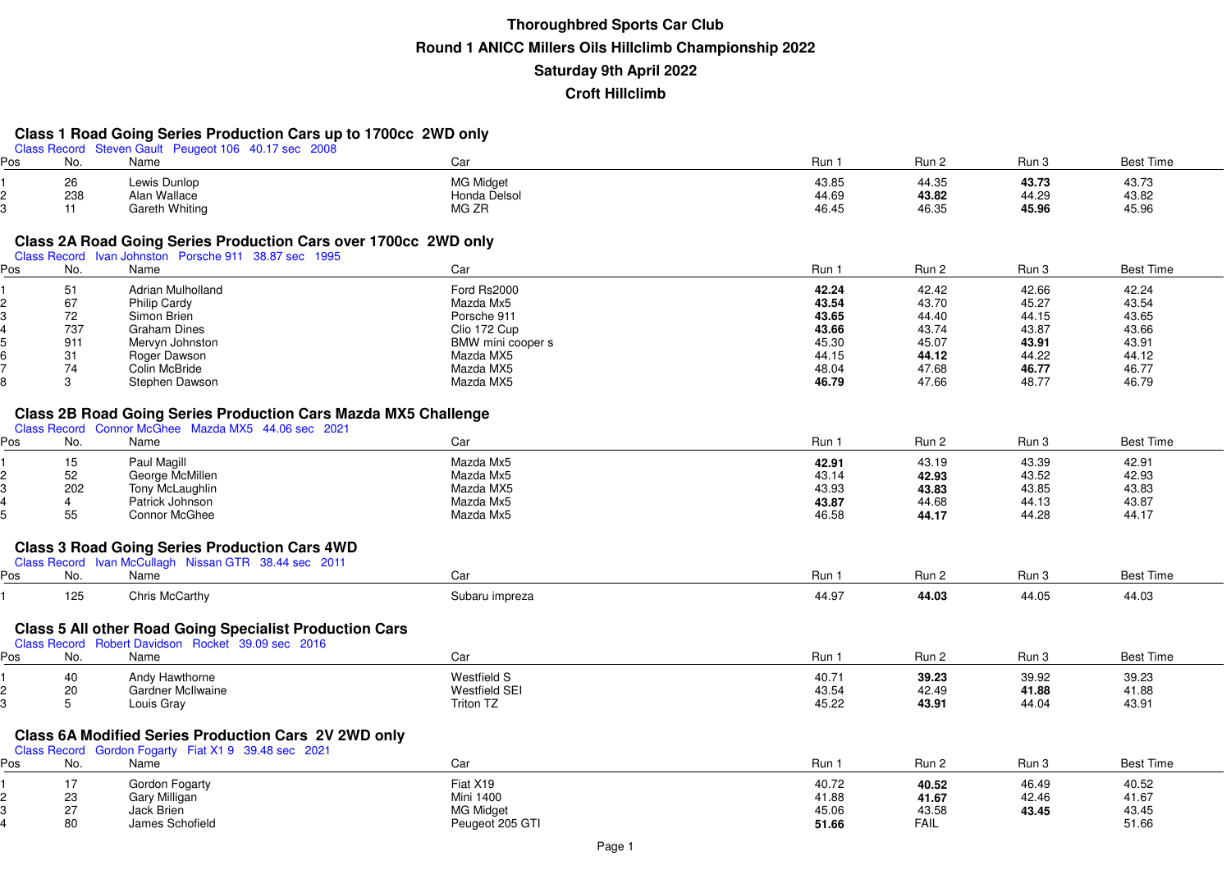#### **Class 1 Road Going Series Production Cars up to 1700cc 2WD only**

|        |                | Class Record Steven Gault Peugeot 106 40.17 sec 2008                                                          |                      |       |             |       |                  |
|--------|----------------|---------------------------------------------------------------------------------------------------------------|----------------------|-------|-------------|-------|------------------|
| Pos    | No.            | Name                                                                                                          | Car                  | Run 1 | Run 2       | Run 3 | <b>Best Time</b> |
|        | 26             | Lewis Dunlop                                                                                                  | <b>MG Midget</b>     | 43.85 | 44.35       | 43.73 | 43.73            |
| 2      | 238            | Alan Wallace                                                                                                  | Honda Delsol         | 44.69 | 43.82       | 44.29 | 43.82            |
| 3      | 11             | <b>Gareth Whiting</b>                                                                                         | MG ZR                | 46.45 | 46.35       | 45.96 | 45.96            |
|        |                |                                                                                                               |                      |       |             |       |                  |
|        |                |                                                                                                               |                      |       |             |       |                  |
|        |                | Class 2A Road Going Series Production Cars over 1700cc 2WD only                                               |                      |       |             |       |                  |
| Pos    | No.            | Class Record Ivan Johnston Porsche 911 38.87 sec 1995<br>Name                                                 | Car                  | Run 1 | Run 2       | Run 3 | <b>Best Time</b> |
|        |                |                                                                                                               |                      |       |             |       |                  |
|        | 51             | Adrian Mulholland                                                                                             | Ford Rs2000          | 42.24 | 42.42       | 42.66 | 42.24            |
|        | 67             | <b>Philip Cardy</b>                                                                                           | Mazda Mx5            | 43.54 | 43.70       | 45.27 | 43.54            |
| 3      | 72             | Simon Brien                                                                                                   | Porsche 911          | 43.65 | 44.40       | 44.15 | 43.65            |
|        | 737            | <b>Graham Dines</b>                                                                                           | Clio 172 Cup         | 43.66 | 43.74       | 43.87 | 43.66            |
|        | 911            | Mervyn Johnston                                                                                               | BMW mini cooper s    | 45.30 | 45.07       | 43.91 | 43.91            |
|        | 31             | Roger Dawson                                                                                                  | Mazda MX5            | 44.15 | 44.12       | 44.22 | 44.12            |
|        | 74             | Colin McBride                                                                                                 | Mazda MX5            | 48.04 | 47.68       | 46.77 | 46.77            |
|        | 3              | Stephen Dawson                                                                                                | Mazda MX5            | 46.79 | 47.66       | 48.77 | 46.79            |
|        |                |                                                                                                               |                      |       |             |       |                  |
|        |                | <b>Class 2B Road Going Series Production Cars Mazda MX5 Challenge</b>                                         |                      |       |             |       |                  |
|        |                | Class Record Connor McGhee Mazda MX5 44.06 sec 2021                                                           |                      |       |             |       |                  |
| Pos    | No.            | Name                                                                                                          | Car                  | Run 1 | Run 2       | Run 3 | <b>Best Time</b> |
|        | 15             | Paul Magill                                                                                                   | Mazda Mx5            | 42.91 | 43.19       | 43.39 | 42.91            |
| 2      | 52             | George McMillen                                                                                               | Mazda Mx5            | 43.14 | 42.93       | 43.52 | 42.93            |
| 3      | 202            | Tony McLaughlin                                                                                               | Mazda MX5            | 43.93 | 43.83       | 43.85 | 43.83            |
|        | $\overline{4}$ | Patrick Johnson                                                                                               | Mazda Mx5            | 43.87 | 44.68       | 44.13 | 43.87            |
|        | 55             | <b>Connor McGhee</b>                                                                                          | Mazda Mx5            | 46.58 | 44.17       | 44.28 | 44.17            |
|        |                |                                                                                                               |                      |       |             |       |                  |
|        |                |                                                                                                               |                      |       |             |       |                  |
|        |                | <b>Class 3 Road Going Series Production Cars 4WD</b><br>Class Record Ivan McCullagh Nissan GTR 38.44 sec 2011 |                      |       |             |       |                  |
| Pos    | No.            | Name                                                                                                          | Car                  | Run 1 | Run 2       | Run 3 | <b>Best Time</b> |
|        |                |                                                                                                               |                      |       |             |       |                  |
|        | 125            | Chris McCarthy                                                                                                | Subaru impreza       | 44.97 | 44.03       | 44.05 | 44.03            |
|        |                |                                                                                                               |                      |       |             |       |                  |
|        |                | <b>Class 5 All other Road Going Specialist Production Cars</b>                                                |                      |       |             |       |                  |
|        |                | Class Record Robert Davidson Rocket 39.09 sec 2016                                                            |                      |       |             |       |                  |
| Pos    | No.            | Name                                                                                                          | Car                  | Run 1 | Run 2       | Run 3 | <b>Best Time</b> |
|        |                |                                                                                                               |                      |       |             |       |                  |
|        | 40             | Andy Hawthorne                                                                                                | <b>Westfield S</b>   | 40.71 | 39.23       | 39.92 | 39.23            |
| 2<br>3 | 20             | <b>Gardner McIlwaine</b>                                                                                      | <b>Westfield SEI</b> | 43.54 | 42.49       | 41.88 | 41.88            |
|        | 5              | Louis Gray                                                                                                    | Triton TZ            | 45.22 | 43.91       | 44.04 | 43.91            |
|        |                |                                                                                                               |                      |       |             |       |                  |
|        |                | <b>Class 6A Modified Series Production Cars 2V 2WD only</b>                                                   |                      |       |             |       |                  |
|        |                | Class Record Gordon Fogarty Fiat X1 9 39.48 sec 2021                                                          |                      |       |             |       |                  |
| Pos    | No.            | Name                                                                                                          | Car                  | Run 1 | Run 2       | Run 3 | <b>Best Time</b> |
|        | 17             | Gordon Fogarty                                                                                                | Fiat X19             | 40.72 | 40.52       | 46.49 | 40.52            |
|        | 23             | Gary Milligan                                                                                                 | <b>Mini 1400</b>     | 41.88 | 41.67       | 42.46 | 41.67            |
| 3      | 27             | Jack Brien                                                                                                    | <b>MG Midget</b>     | 45.06 | 43.58       | 43.45 | 43.45            |
|        | 80             | James Schofield                                                                                               | Peugeot 205 GTI      | 51.66 | <b>FAIL</b> |       | 51.66            |
|        |                |                                                                                                               |                      |       |             |       |                  |

**6** FAIL 51.66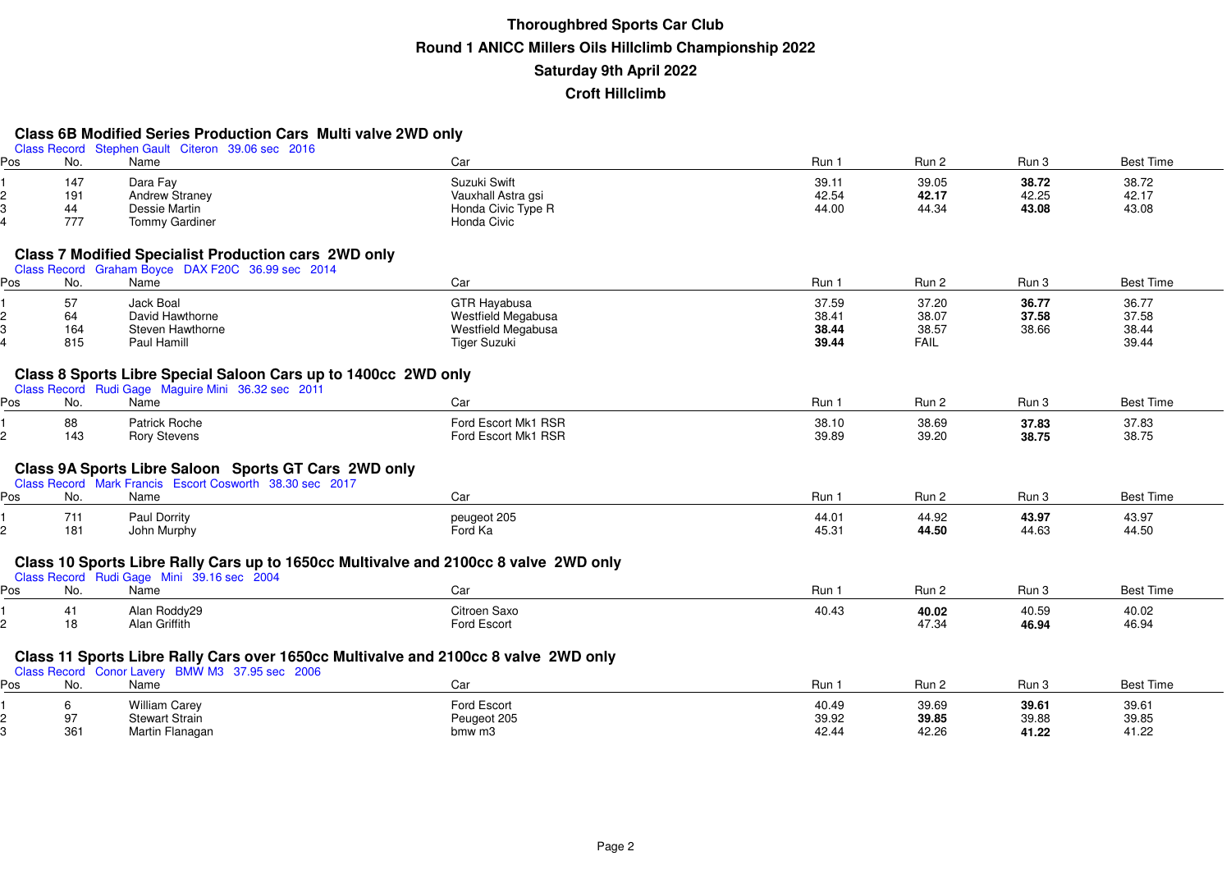### **Class 6B Modified Series Production Cars Multi valve 2WD only**

|     |           | Class Record Stephen Gault Citeron 39.06 sec 2016                                                                |                                                                                      |                |                |                |                  |
|-----|-----------|------------------------------------------------------------------------------------------------------------------|--------------------------------------------------------------------------------------|----------------|----------------|----------------|------------------|
| Pos | No.       | Name                                                                                                             | Car                                                                                  | Run 1          | Run 2          | Run 3          | <b>Best Time</b> |
|     | 147       | Dara Fay                                                                                                         | Suzuki Swift                                                                         | 39.11          | 39.05          | 38.72          | 38.72            |
| 2   | 191       | Andrew Straney                                                                                                   | Vauxhall Astra gsi                                                                   | 42.54          | 42.17          | 42.25          | 42.17            |
| 3   | 44        | Dessie Martin                                                                                                    | Honda Civic Type R                                                                   | 44.00          | 44.34          | 43.08          | 43.08            |
| 4   | 777       | Tommy Gardiner                                                                                                   | Honda Civic                                                                          |                |                |                |                  |
|     |           |                                                                                                                  |                                                                                      |                |                |                |                  |
|     |           | <b>Class 7 Modified Specialist Production cars 2WD only</b><br>Class Record Graham Boyce DAX F20C 36.99 sec 2014 |                                                                                      |                |                |                |                  |
| Pos | No.       | Name                                                                                                             | Car                                                                                  | Run 1          | Run 2          | Run 3          | <b>Best Time</b> |
|     | 57        | Jack Boal                                                                                                        | GTR Hayabusa                                                                         | 37.59          | 37.20          | 36.77          | 36.77            |
| 2   | 64        | David Hawthorne                                                                                                  | Westfield Megabusa                                                                   | 38.41          | 38.07          | 37.58          | 37.58            |
|     | 164       | Steven Hawthorne                                                                                                 | Westfield Megabusa                                                                   | 38.44          | 38.57          | 38.66          | 38.44            |
|     | 815       | Paul Hamill                                                                                                      | <b>Tiger Suzuki</b>                                                                  | 39.44          | <b>FAIL</b>    |                | 39.44            |
|     |           |                                                                                                                  |                                                                                      |                |                |                |                  |
|     |           | Class 8 Sports Libre Special Saloon Cars up to 1400cc 2WD only                                                   |                                                                                      |                |                |                |                  |
| Pos | No.       | Class Record Rudi Gage Maguire Mini 36.32 sec 2011<br>Name                                                       | Car                                                                                  | Run 1          | Run 2          | Run 3          | <b>Best Time</b> |
|     |           |                                                                                                                  |                                                                                      |                |                |                |                  |
|     | 88<br>143 | Patrick Roche<br><b>Rory Stevens</b>                                                                             | Ford Escort Mk1 RSR<br>Ford Escort Mk1 RSR                                           | 38.10<br>39.89 | 38.69<br>39.20 | 37.83<br>38.75 | 37.83<br>38.75   |
|     |           |                                                                                                                  |                                                                                      |                |                |                |                  |
|     |           | Class 9A Sports Libre Saloon Sports GT Cars 2WD only                                                             |                                                                                      |                |                |                |                  |
|     |           | Class Record Mark Francis Escort Cosworth 38.30 sec 2017                                                         |                                                                                      |                |                |                |                  |
| Pos | No.       | Name                                                                                                             | Car                                                                                  | Run 1          | Run 2          | Run 3          | <b>Best Time</b> |
|     | 711       | Paul Dorrity                                                                                                     | peugeot 205                                                                          | 44.01          | 44.92          | 43.97          | 43.97            |
| 2   | 181       | John Murphy                                                                                                      | Ford Ka                                                                              | 45.31          | 44.50          | 44.63          | 44.50            |
|     |           |                                                                                                                  |                                                                                      |                |                |                |                  |
|     |           |                                                                                                                  | Class 10 Sports Libre Rally Cars up to 1650cc Multivalve and 2100cc 8 valve 2WD only |                |                |                |                  |
|     |           | Class Record Rudi Gage Mini 39.16 sec 2004                                                                       |                                                                                      |                |                |                |                  |
| Pos | No.       | Name                                                                                                             | Car                                                                                  | Run 1          | Run 2          | Run 3          | <b>Best Time</b> |
|     | 41        | Alan Roddy29                                                                                                     | Citroen Saxo                                                                         | 40.43          | 40.02          | 40.59          | 40.02            |
|     | 18        | Alan Griffith                                                                                                    | Ford Escort                                                                          |                | 47.34          | 46.94          | 46.94            |
|     |           |                                                                                                                  |                                                                                      |                |                |                |                  |
|     |           | Class Record Conor Lavery BMW M3 37.95 sec 2006                                                                  | Class 11 Sports Libre Rally Cars over 1650cc Multivalve and 2100cc 8 valve 2WD only  |                |                |                |                  |
| Pos | No.       | Name                                                                                                             | Car                                                                                  | Run 1          | Run 2          | Run 3          | <b>Best Time</b> |
|     | 6         | <b>William Carey</b>                                                                                             | Ford Escort                                                                          | 40.49          | 39.69          | 39.61          | 39.61            |
|     | 97        | <b>Stewart Strain</b>                                                                                            | Peugeot 205                                                                          | 39.92          | 39.85          | 39.88          | 39.85            |
| 3   | 361       | Martin Flanagan                                                                                                  | bmw m3                                                                               | 42.44          | 42.26          | 41.22          | 41.22            |
|     |           |                                                                                                                  |                                                                                      |                |                |                |                  |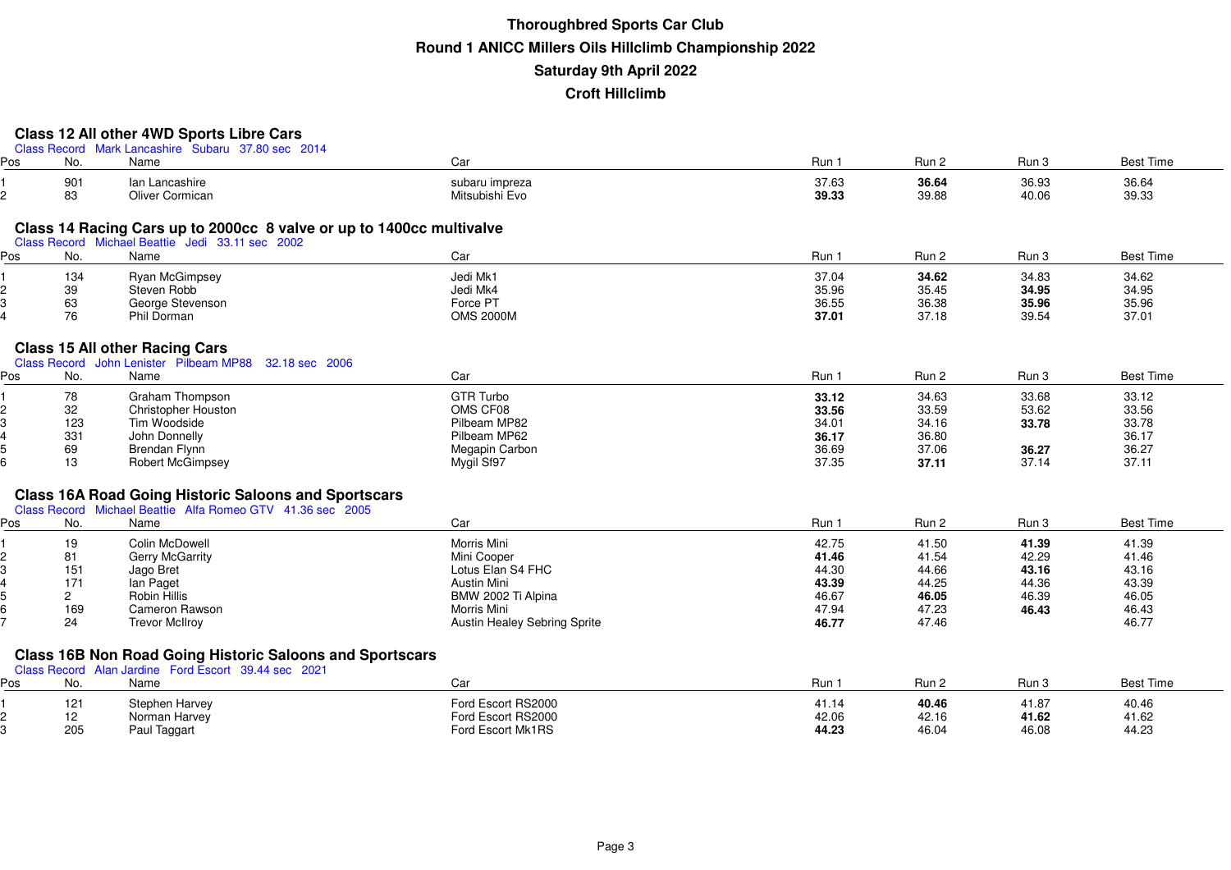## **Class 12 All other 4WD Sports Libre Cars**

| Class Record Mark Lancashire Subaru 37,80 sec 2014 |  |
|----------------------------------------------------|--|
|----------------------------------------------------|--|

| Pos | No.            | Name                                                                 | Car                                 | Run 1          | Run 2          | Run 3          | <b>Best Time</b> |
|-----|----------------|----------------------------------------------------------------------|-------------------------------------|----------------|----------------|----------------|------------------|
|     | 901<br>83      | lan Lancashire<br><b>Oliver Cormican</b>                             | subaru impreza<br>Mitsubishi Evo    | 37.63<br>39.33 | 36.64<br>39.88 | 36.93<br>40.06 | 36.64<br>39.33   |
|     |                |                                                                      |                                     |                |                |                |                  |
|     |                | Class 14 Racing Cars up to 2000cc 8 valve or up to 1400cc multivalve |                                     |                |                |                |                  |
| Pos | No.            | Class Record Michael Beattie Jedi 33.11 sec 2002<br>Name             | Car                                 | Run 1          | Run 2          | Run 3          | <b>Best Time</b> |
|     |                |                                                                      |                                     |                |                |                |                  |
|     | 134            | Ryan McGimpsey                                                       | Jedi Mk1                            | 37.04          | 34.62          | 34.83          | 34.62            |
|     | 39             | Steven Robb                                                          | Jedi Mk4                            | 35.96          | 35.45          | 34.95          | 34.95            |
|     | 63             | George Stevenson                                                     | Force PT                            | 36.55          | 36.38          | 35.96          | 35.96            |
|     | 76             | Phil Dorman                                                          | <b>OMS 2000M</b>                    | 37.01          | 37.18          | 39.54          | 37.01            |
|     |                | <b>Class 15 All other Racing Cars</b>                                |                                     |                |                |                |                  |
|     |                | Class Record John Lenister Pilbeam MP88 32.18 sec 2006               |                                     |                |                |                |                  |
| Pos | No.            | Name                                                                 | Car                                 | Run 1          | Run 2          | Run 3          | <b>Best Time</b> |
|     |                |                                                                      |                                     |                |                |                |                  |
|     | 78             | Graham Thompson                                                      | <b>GTR Turbo</b>                    | 33.12          | 34.63          | 33.68          | 33.12            |
|     | 32             | <b>Christopher Houston</b><br>Tim Woodside                           | OMS CF08<br>Pilbeam MP82            | 33.56          | 33.59          | 53.62          | 33.56            |
|     | 123            |                                                                      |                                     | 34.01          | 34.16          | 33.78          | 33.78            |
|     | 331            | John Donnelly                                                        | Pilbeam MP62                        | 36.17          | 36.80          |                | 36.17            |
|     | 69<br>13       | Brendan Flynn                                                        | Megapin Carbon<br>Mygil Sf97        | 36.69          | 37.06<br>37.11 | 36.27<br>37.14 | 36.27<br>37.11   |
|     |                | <b>Robert McGimpsey</b>                                              |                                     | 37.35          |                |                |                  |
|     |                | <b>Class 16A Road Going Historic Saloons and Sportscars</b>          |                                     |                |                |                |                  |
|     |                | Class Record Michael Beattie Alfa Romeo GTV 41.36 sec 2005           |                                     |                |                |                |                  |
| Pos | No.            | Name                                                                 | Car                                 | Run 1          | Run 2          | Run 3          | <b>Best Time</b> |
|     |                | Colin McDowell                                                       | Morris Mini                         | 42.75          | 41.50          |                | 41.39            |
|     | 19<br>81       | <b>Gerry McGarrity</b>                                               | Mini Cooper                         | 41.46          | 41.54          | 41.39<br>42.29 | 41.46            |
|     | 151            | Jago Bret                                                            | Lotus Elan S4 FHC                   | 44.30          | 44.66          | 43.16          | 43.16            |
|     | 171            | lan Paget                                                            | Austin Mini                         | 43.39          | 44.25          | 44.36          | 43.39            |
|     | $\overline{2}$ | Robin Hillis                                                         | BMW 2002 Ti Alpina                  | 46.67          | 46.05          | 46.39          | 46.05            |
|     | 169            | Cameron Rawson                                                       | Morris Mini                         | 47.94          | 47.23          | 46.43          | 46.43            |
|     | 24             | <b>Trevor McIlroy</b>                                                | <b>Austin Healey Sebring Sprite</b> | 46.77          | 47.46          |                | 46.77            |
|     |                |                                                                      |                                     |                |                |                |                  |
|     |                | <b>Class 16B Non Road Going Historic Saloons and Sportscars</b>      |                                     |                |                |                |                  |
|     |                | Class Record Alan Jardine Ford Escort 39.44 sec 2021                 |                                     |                |                |                |                  |
| Pos | No.            | Name                                                                 | Car                                 | Run 1          | Run 2          | Run 3          | <b>Best Time</b> |
|     | 121            | Stephen Harvey                                                       | Ford Escort RS2000                  | 41.14          | 40.46          | 41.87          | 40.46            |
|     | 12             | Norman Harvey                                                        | Ford Escort RS2000                  | 42.06          | 42.16          | 41.62          | 41.62            |
|     | 205            | Paul Taggart                                                         | Ford Escort Mk1RS                   | 44.23          | 46.04          | 46.08          | 44.23            |
|     |                |                                                                      |                                     |                |                |                |                  |